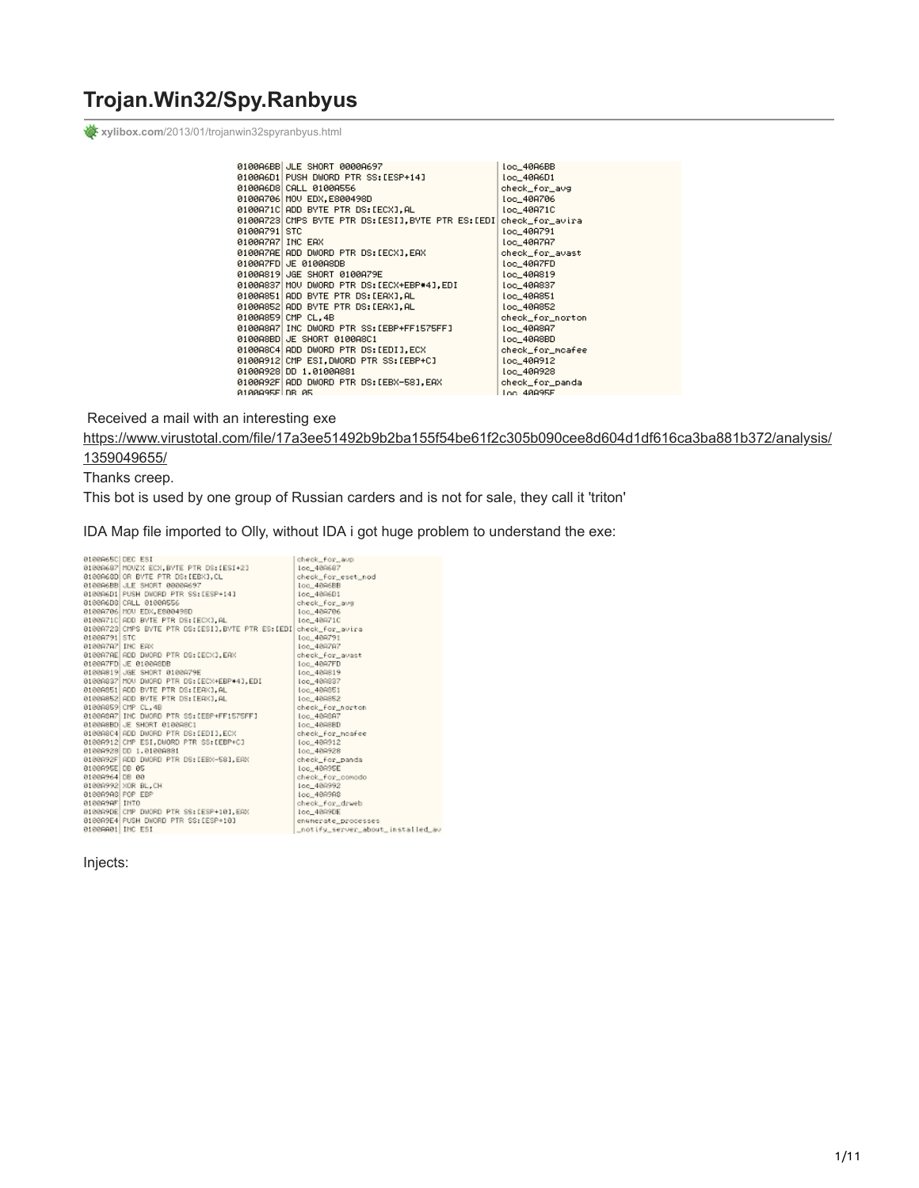## **Trojan.Win32/Spy.Ranbyus**

**xylibox.com**[/2013/01/trojanwin32spyranbyus.html](http://www.xylibox.com/2013/01/trojanwin32spyranbyus.html)

|                  | 0100A6BB JLE SHORT 0000A697                        | loc_40A6BB       |
|------------------|----------------------------------------------------|------------------|
|                  | 0100A6D1 PUSH DWORD PTR SS:[ESP+14]                | loc_40A6D1       |
|                  | 0100A6D8 CALL 0100A556                             | check_for_avg    |
|                  | 0100A706 MOU EDX, E800498D                         | loc_40A706       |
|                  | 0100A71C ADD BYTE PTR DS:[ECX].AL                  | Loc_40A71C       |
|                  | 0100A723 CMPS BYTE PTR DS:[ESI], BYTE PTR ES:[EDI] | check_for_avira  |
| 0100A791 STC     |                                                    | loc_40A791       |
| 0100A7A7 INC EAX |                                                    | loc_40A7A7       |
|                  | 0100A7AE ADD DWORD PTR DS:[ECX],EAX                | check_for_avast  |
|                  | 0100A7FD JE 0100A8DB                               | loc_40A7FD       |
|                  | 0100A819 JGE SHORT 0100A79E                        | loc_40A819       |
|                  | 0100A837 MOV DWORD PTR DS:[ECX+EBP*4].EDI          | loc_40A837       |
|                  | 0100A851 ADD BYTE PTR DS:[EAX],AL                  | loc_40A851       |
|                  | 0100A852 ADD BYTE PTR DS:[EAX],AL                  | loc_40A852       |
|                  | 0100A859 CMP CL.4B                                 | check_for_norton |
|                  | 0100A8A7 INC DWORD PTR SS:[EBP+FF1575FF]           | loc_40A8A7       |
|                  | 0100A8BD JE SHORT 0100A8C1                         | loc_40A8BD       |
|                  | 0100A8C4 ADD DWORD PTR DS:[EDI].ECX                | check_for_mcafee |
|                  | 0100A912 CMP ESI, DWORD PTR SS:[EBP+C]             | loc 40A912       |
|                  | 0100A928 DD 1.0100A881                             | loc_40A928       |
|                  | 0100A92F ADD DWORD PTR DS:[EBX-58].EAX             | check_for_panda  |
| A1AAA95ELDB A5   |                                                    | Loc. 48995E      |

Received a mail with an interesting exe

[https://www.virustotal.com/file/17a3ee51492b9b2ba155f54be61f2c305b090cee8d604d1df616ca3ba881b372/analysis/](https://www.virustotal.com/file/17a3ee51492b9b2ba155f54be61f2c305b090cee8d604d1df616ca3ba881b372/analysis/1359049655/)

### 1359049655/

Thanks creep.

This bot is used by one group of Russian carders and is not for sale, they call it 'triton'

IDA Map file imported to Olly, without IDA i got huge problem to understand the exe:

| 0100065C DEC ESI |                                                      | check_for_avp                     |
|------------------|------------------------------------------------------|-----------------------------------|
|                  | 01000687 MOUZX ECX, BYTE PTR DS: [ESI+2]             | Ioc_400687                        |
|                  | 0100A68D OR BYTE PTR DS: [EBK].CL                    | check for eset nod                |
|                  | 010006BB JLE SHORT 00000697                          | loc 4896BB                        |
|                  | 010006D1 PUSH DWORD PTR SS:[ESP+14]                  | loc_4006D1                        |
|                  | 0100A6DB CALL 0100A556                               | check_for_ave                     |
|                  | 01008706 MOU EDX, E800498D                           | loc_409706                        |
|                  | 0100A71C ADD BYTE PTR OS:(ECX].AL                    | Ioc. 409710                       |
|                  | 0100A723 CMPS BVTE PTR DS; [ESI], BVTE PTR ES; [EDI] | check for avira                   |
| 01009791 STC     |                                                      | loc 409791                        |
| 01008787 INC EAX |                                                      | Ioc_409787                        |
|                  | 0100A7AE ADD DWORD PTR OS:[ECX].EAX                  | check for avast                   |
|                  | ateggzFD JE ateggabb                                 | loc_40A7FD                        |
|                  | 01009819 JGE SHORT 0100979E                          | loc_400819                        |
|                  | 0100A837 MOU DWORD PTR DS: [ECX+EBP+4], EDI          | Ioo_409837                        |
|                  | 0100A851 ADD BYTE PTR DS:[EAK].AL                    | loc_40R851                        |
|                  | 0100A852 ADD BYTE PTR DS: [EAX], AL                  | loc 489852                        |
|                  | 0100A859 CMP CL.4B                                   | check for norton                  |
|                  | 0100A8A7 INC DUORD PTR SS: [EBP+FF1575FF]            | loc_40R6A7                        |
|                  | 0100A8BD JE SHORT 0100A8C1                           | loc_4098BD                        |
|                  | 0100A8C4 AOD DWORD PTR OS:[EDI].ECX                  | check for noafee                  |
|                  | 0100A912 CMP ESI, DUORD PTR SS: [EBP+C]              | loc_40R912                        |
|                  | 01000928 00 1.01000881                               | loc 409928                        |
|                  | 0100A92F ADD DWORD PTR DS: [EBX-58].EAX              | check for panda                   |
| 0100A95E DB 05   |                                                      | Loc_40R95E                        |
| 81008964 DB 88   |                                                      | check_for_conado                  |
|                  | 0100A992 XOR BL.CH                                   | Ioc 408992                        |
| 81889998 POP EBP |                                                      | Ioc_4899A8                        |
| 8188999F INTO    |                                                      | check_for_drveb                   |
|                  | 0100A9DE CMP DWORD PTR SS:[ESP+10].EAX               | loc_4099DE                        |
|                  | 0100A9E4 PUSH DWORD PTR SS: [ESP+10]                 | enunerate processes               |
| 0100AA01 INC ESI |                                                      | _notify_server_about_installed_av |
|                  |                                                      |                                   |

Injects: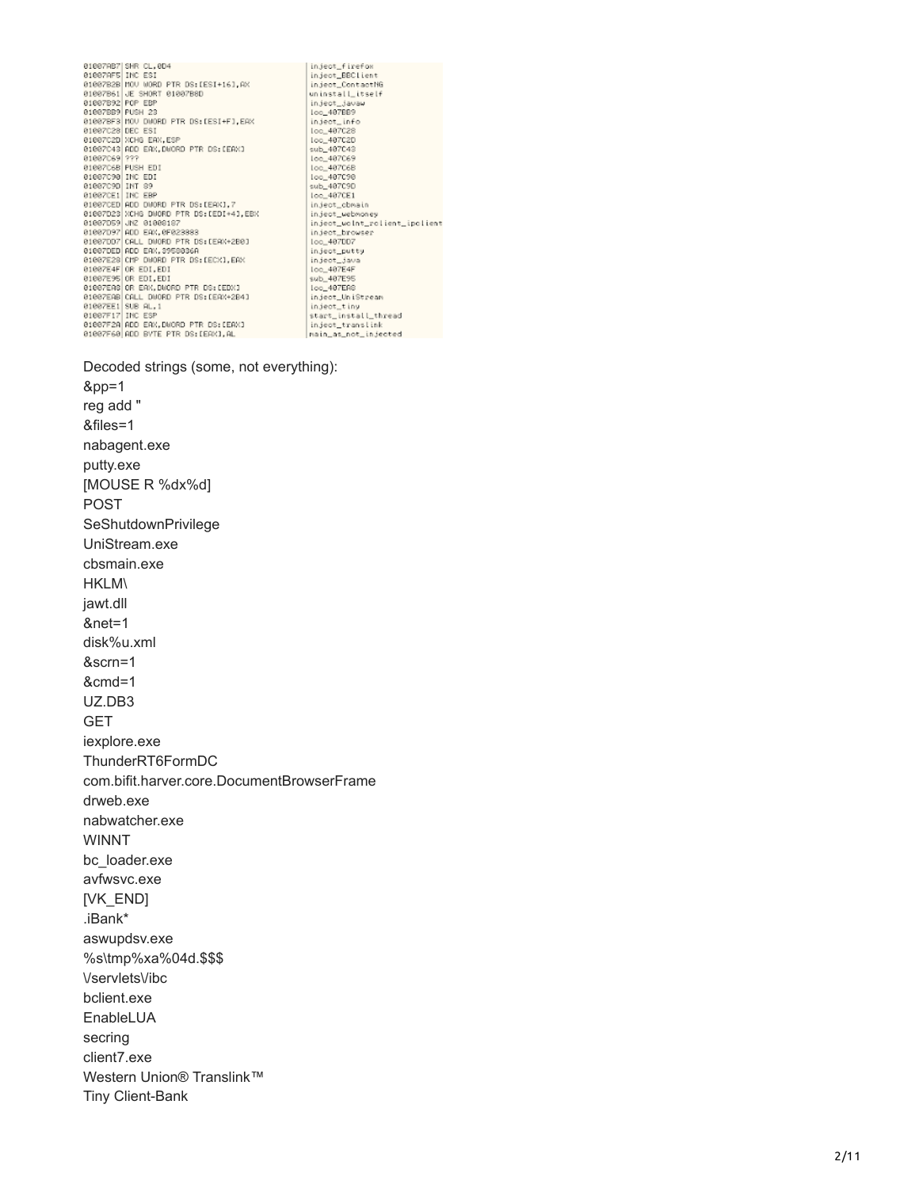01007AB7 SHR CL, 0D4<br>01007AB7 SHR CL, 0D4<br>01007AB3 HOU WORD PTR DS: [ESI+16], AX<br>01007B28 HOU WORD PTR DS: [ESI+16], AX<br>01007B28 HOU WORD PTR DS: [ESI+F], EAX<br>010072B3 DEC ESI<br>010072B3 DEC ESI<br>010072B3 DEC ESI<br>010072B3 DEC

inject\_firefox<br>inject\_BBClient<br>inject\_ContactNG uninstall\_itself<br>inject\_javaw<br>loc\_407BB9 loo\_40/BB9<br>inject\_info<br>loo\_407C28<br>sub\_407C43<br>sub\_407C68<br>loo\_407C68 loc\_487C98<br>sub\_487C90<br>loc\_487CE1 ion\_4070E1<br>inject\_cbnsin<br>inject\_webwoney<br>inject\_webwoney<br>inject\_browser<br>inject\_browser<br>ion\_407007<br>inject\_jawa<br>ion\_407E4F<br>ion\_407E4F<br>ion\_407E4F<br>ion\_407E4F loc\_407EA8<br>inject\_UniStream<br>inject\_tiny start\_install\_thread<br>inject\_translink<br>main\_as\_not\_injected

Decoded strings (some, not everything):

 $&$ pp=1 reg add " &files=1 nabagent.exe putty.exe [MOUSE R %dx%d] **POST** SeShutdownPrivilege UniStream.exe cbsmain.exe **HKLM\** jawt.dll  $&$ net=1 disk%u.xml &scrn=1  $&cmd=1$ UZ.DB3 **GET** iexplore.exe ThunderRT6FormDC com.bifit.harver.core.DocumentBrowserFrame drweb.exe nabwatcher.exe **WINNT** bc\_loader.exe avfwsvc.exe [VK\_END] .iBank\* aswupdsv.exe %s\tmp%xa%04d.\$\$\$ VservletsVibc bclient.exe EnableLUA secring client7.exe Western Union® Translink™ **Tiny Client-Bank**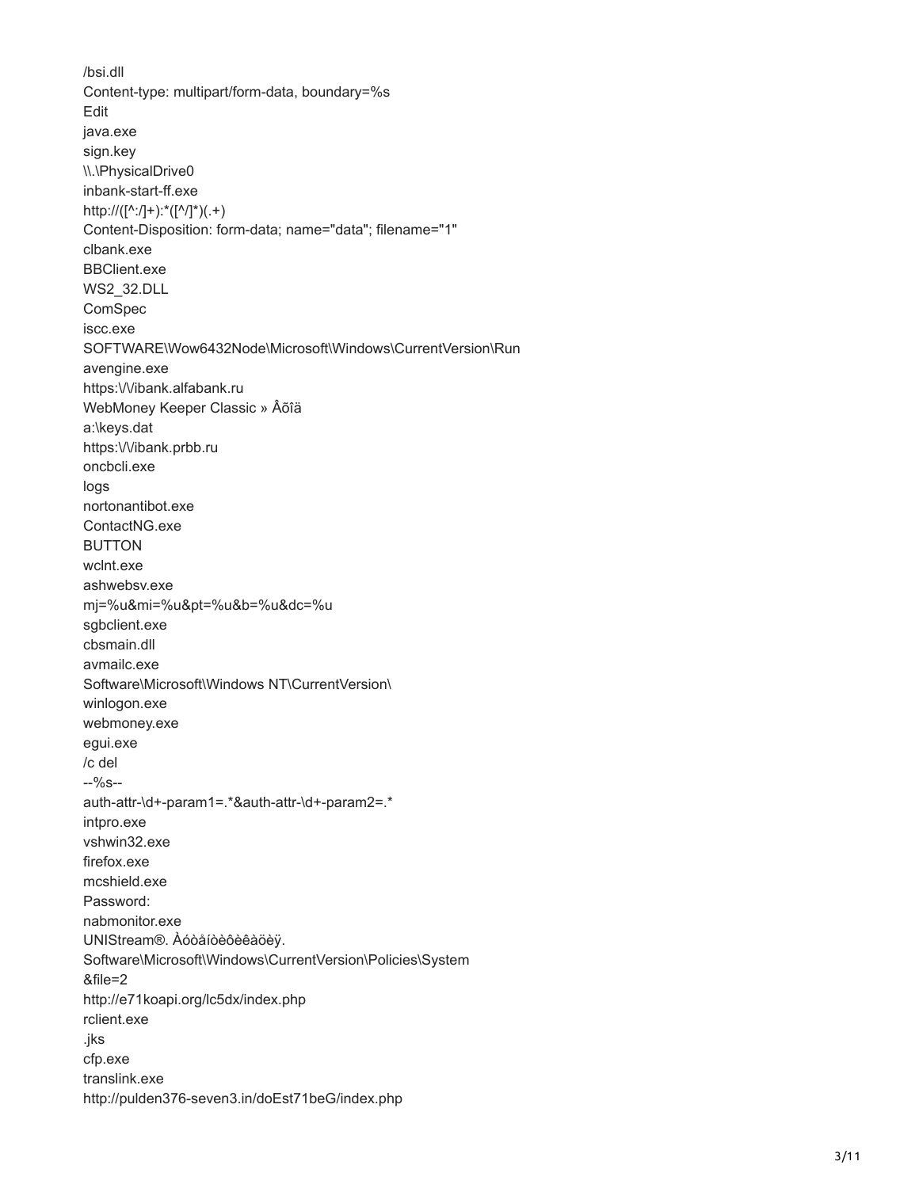/bsi.dll Content-type: multipart/form-data, boundary=%s Edit java.exe sign.key \\.\PhysicalDrive0 inbank-start-ff.exe http://([^:/]+):\*([^/]\*)(.+) Content-Disposition: form-data; name="data"; filename="1" clbank.exe **BBClient.exe WS2\_32.DLL** ComSpec iscc.exe SOFTWARE\Wow6432Node\Microsoft\Windows\CurrentVersion\Run avengine.exe https:///ibank.alfabank.ru WebMoney Keeper Classic » Âõîä a:\keys.dat https:\/\/ibank.prbb.ru oncbcli.exe logs nortonantibot.exe ContactNG.exe **BUTTON** wclnt.exe ashwebsv.exe mj=%u&mi=%u&pt=%u&b=%u&dc=%u sgbclient.exe cbsmain.dll avmailc.exe Software\Microsoft\Windows NT\CurrentVersion\ winlogon.exe webmoney.exe egui.exe /c del  $-9/6s$ auth-attr-\d+-param1=.\*&auth-attr-\d+-param2=.\* intpro.exe vshwin32.exe firefox exe mcshield.exe Password: nabmonitor.exe UNIStream®. Àóòåíòèôèêàöèÿ. Software\Microsoft\Windows\CurrentVersion\Policies\System &file=2 http://e71koapi.org/lc5dx/index.php rclient.exe .jks cfp.exe translink.exe http://pulden376-seven3.in/doEst71beG/index.php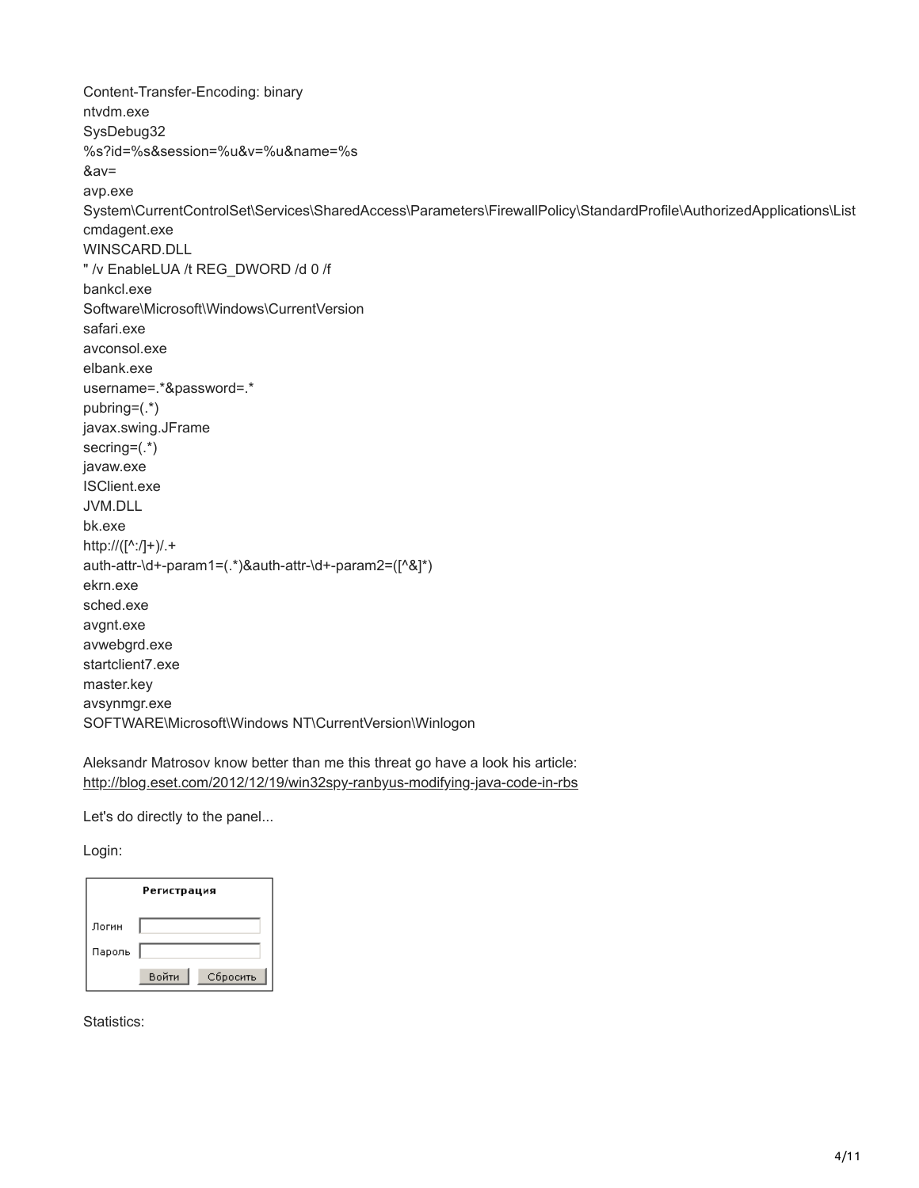Content-Transfer-Encoding: binary ntvdm.exe SysDebug32 %s?id=%s&session=%u&v=%u&name=%s &av= avp.exe System\CurrentControlSet\Services\SharedAccess\Parameters\FirewallPolicy\StandardProfile\AuthorizedApplications\List cmdagent.exe WINSCARD.DLL " /v EnableLUA /t REG\_DWORD /d 0 /f bankcl.exe Software\Microsoft\Windows\CurrentVersion safari.exe avconsol.exe elbank.exe username=.\*&password=.\* pubring=(.\*) javax.swing.JFrame secring=(.\*) javaw.exe ISClient.exe JVM.DLL bk.exe http://([^:/]+)/.+ auth-attr-\d+-param1=(.\*)&auth-attr-\d+-param2=([^&]\*) ekrn.exe sched.exe avgnt.exe avwebgrd.exe startclient7.exe master.key avsynmgr.exe SOFTWARE\Microsoft\Windows NT\CurrentVersion\Winlogon

Aleksandr Matrosov know better than me this threat go have a look his article: <http://blog.eset.com/2012/12/19/win32spy-ranbyus-modifying-java-code-in-rbs>

Let's do directly to the panel...

Login:

|        | Регистрация       |
|--------|-------------------|
| Логин  |                   |
| Пароль |                   |
|        | Войти<br>Сбросить |

Statistics: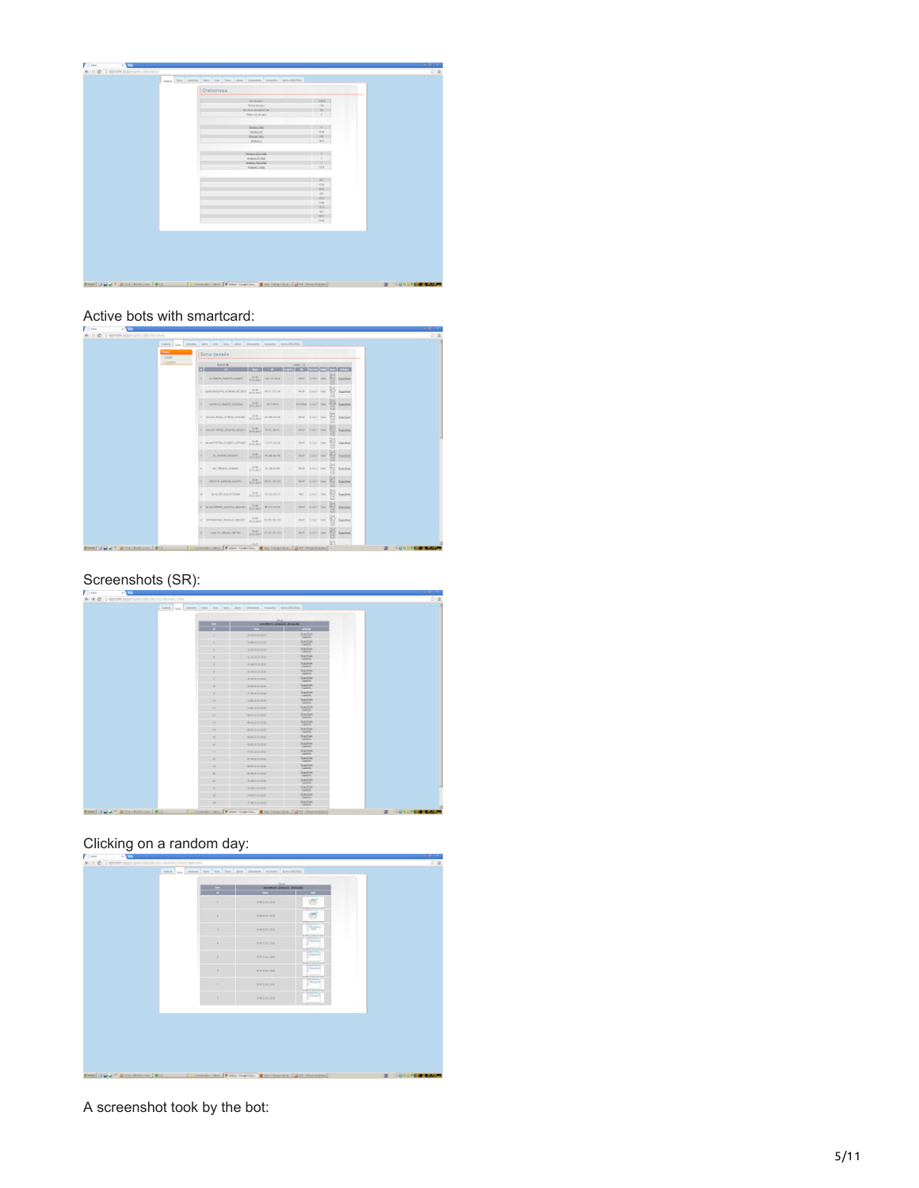| Статистика                           |                          |  |
|--------------------------------------|--------------------------|--|
| <b>SCANDS</b>                        | <b>FRS</b>               |  |
| <b>King around</b>                   | THE OWNER                |  |
| tera senerant a<br><b>New Street</b> | <b>WE</b>                |  |
|                                      | $\sim$                   |  |
|                                      |                          |  |
| <b>SEASAURE</b>                      | ٠                        |  |
| <b>SERACE</b>                        | <b>THE R</b>             |  |
| <b>SOUTH</b>                         | 10                       |  |
| <b>MANUE</b>                         | <b>WAY</b>               |  |
|                                      |                          |  |
| <b>Hinday 202000</b>                 |                          |  |
| Males 2144.                          | $-1$                     |  |
| <b>Winters False For</b>             |                          |  |
| Hindam Links                         | DOM:                     |  |
|                                      |                          |  |
|                                      | 167                      |  |
|                                      | <                        |  |
|                                      | <b>NG</b>                |  |
|                                      | <b>DO</b><br><b>HALL</b> |  |
|                                      | <b>COS</b>               |  |
|                                      | 201                      |  |
|                                      | $10^{\circ}$             |  |
|                                      | will be                  |  |
|                                      | $-10-1$                  |  |
|                                      |                          |  |
|                                      |                          |  |
|                                      |                          |  |
|                                      |                          |  |
|                                      |                          |  |
|                                      |                          |  |
|                                      |                          |  |
|                                      |                          |  |

## Active bots with smartcard:

| <b>Phone</b><br>+ Delpin | Богы селайк                           |                                                   |         |                             |              |                   |  |
|--------------------------|---------------------------------------|---------------------------------------------------|---------|-----------------------------|--------------|-------------------|--|
| $+$ Control              | <b>BUILDER</b>                        |                                                   | 1499 11 |                             |              |                   |  |
|                          | 1 PASSAGE SERVICE                     | <b>Andre recover</b>                              |         |                             |              |                   |  |
|                          | I GRESSING ANNUAL AND A PARTIES.      |                                                   |         | says year not \$30 business |              |                   |  |
|                          | a newspation and conspirate to        |                                                   |         | HOVER LILLY line            |              | <b>Duesday</b>    |  |
|                          | a montainproperty and a filled manual |                                                   |         | that shar law.              |              | Tot meeter        |  |
|                          | I HOFFER, HEATH INTERNATIONAL         |                                                   |         | MAY 1047 Text               |              | <b>W</b> National |  |
|                          | CHARTERSTANDING AND LONGED IN         |                                                   |         | Hol- LLLT Imm               |              | <b>Ingeles</b>    |  |
|                          | - In prima limited                    | $\frac{1-\alpha}{1-\alpha\sqrt{2}}$ <b>KINNIN</b> |         | more sixth more             | <b>SILLE</b> | <b>Bucker</b>     |  |
|                          | ar Paris Josevi                       | $n = 1$                                           |         | MAY 1047 NAT                |              | <b>National</b>   |  |
|                          | <b>INVESTIGATION</b>                  | Angel 108, 1430                                   |         | that that has Bill business |              |                   |  |
|                          | Aria (2014) 2-DOM                     | $\frac{100}{100000}$ NAMAN -                      |         | HO LEAD INC.                | <b>Sid</b>   | <b>Ingeles</b>    |  |
|                          | Control of the resident party of the  |                                                   |         | terr Line last              | 돰            | <b>Standard</b>   |  |
|                          | IS MARRIAGNON-CONTRACTOR              |                                                   |         | war year on \$2             |              | National          |  |
|                          | D. Der Lifebulliteit Ballantin (B     |                                                   |         | that Little law 200         |              | <b>Jugoslav</b>   |  |

## Screenshots (SR):

| Lane Lan Denne Geo Inn Geo Jane General Innation Advertisings |                         |                                    |  |
|---------------------------------------------------------------|-------------------------|------------------------------------|--|
|                                                               |                         |                                    |  |
|                                                               | <b>ANNEL LIMIT 2010</b> |                                    |  |
|                                                               |                         | $\frac{1}{2}$                      |  |
|                                                               | POSSER                  | <b>Number</b><br>DALLS             |  |
|                                                               | <b>NADAR</b>            | 3.415.43<br><b>Contact</b>         |  |
|                                                               | ENGINED                 | <b>Sactions</b><br><b>Lista</b>    |  |
|                                                               | ESSION                  | <b>Saction</b><br><b>Laskin</b>    |  |
|                                                               | 8.02131210              | <b>Succes</b><br><b>Tucklo</b>     |  |
|                                                               | <b>RIPOLISIA</b>        | <b>Succes</b><br><b>TABRIE</b>     |  |
|                                                               | <b>PERMITTE</b>         | <b>Suppliers</b><br><b>GARDS</b>   |  |
|                                                               | <b>PIREVA BLANK</b>     | <b>Sauting</b><br><b>CARES</b>     |  |
|                                                               | PARKIN                  | Diamond<br><b>CARES</b>            |  |
| $\blacksquare$                                                | <b>EVELYMENT</b>        | <b>Succion</b><br>DAYS             |  |
| $\mathbf{1}$                                                  | <b>FAVOLENCE</b>        | <b>Sunder</b><br>DATES             |  |
| 13                                                            | <b>AUSTRALE</b>         | Swinker<br>Data St                 |  |
| $\mathbf{u}$                                                  | <b>GOODS</b>            | Santas<br>Details                  |  |
| 14                                                            | <b><i>BOILDER</i></b>   | Swifter<br><b>Listade</b>          |  |
| $\mathbf{H}$                                                  | <b>GANCESCO</b>         | <b>Sucions</b><br><b>CARACTER</b>  |  |
| $\mathbf{H}$                                                  | 000313030               | <b>Xacone</b><br><b>Valence</b>    |  |
| $\sqrt{2}$                                                    | COMMEN                  | Succes.                            |  |
| $\mathbf{H}$                                                  | <b>SYNGLESSIA</b>       | <b>Dupations</b><br><b>Vannie</b>  |  |
| $\mathbf{r}$                                                  | <b>BM JEELEN</b>        | <b>Dupotion</b><br><b>Value</b>    |  |
| $\overline{a}$                                                | <b>BURGLERS</b>         | Sautine<br><b>CARES</b>            |  |
| n                                                             | DRIVER                  | <b>Sauder</b><br>DAYS.             |  |
| ٠                                                             | PROFILER                | <b>Sunday</b><br>DAYS              |  |
| $\sim$                                                        | POSSES                  | <b>SWIND</b><br><b>Contact</b>     |  |
| $^{16}$                                                       | PAGEUR                  | <b>Sactions</b><br><b>Long lay</b> |  |

## Clicking on a random day:

|  | n              | <b>ANARCH LINES MALES</b><br>$-1$ | $\sim$                                           |  |
|--|----------------|-----------------------------------|--------------------------------------------------|--|
|  | $\mathbf{r}$   | Pret Instructed                   | 垣                                                |  |
|  | $\Gamma$       | <b>WE WANTED</b>                  | 坜                                                |  |
|  | $\sim$         | <b>INFORME</b>                    | <b>The Co</b>                                    |  |
|  | $\lambda$      | <b>WHILES</b>                     | Contractor<br>7 Windows                          |  |
|  | $\lambda$      | and leak Jink                     | <b>STATISTICS</b><br>Tillingham<br><b>County</b> |  |
|  | $\mathbf{r}_i$ | <b>WITH STATISTICS</b>            | <b>Selection</b>                                 |  |
|  | $\mathbb{R}^n$ | <b>WEDNEST</b>                    | <b>STARTED</b>                                   |  |
|  | ٠              | 249.002.201                       | ÷<br>F                                           |  |
|  |                |                                   |                                                  |  |
|  |                |                                   |                                                  |  |
|  |                |                                   |                                                  |  |
|  |                |                                   |                                                  |  |

A screenshot took by the bot: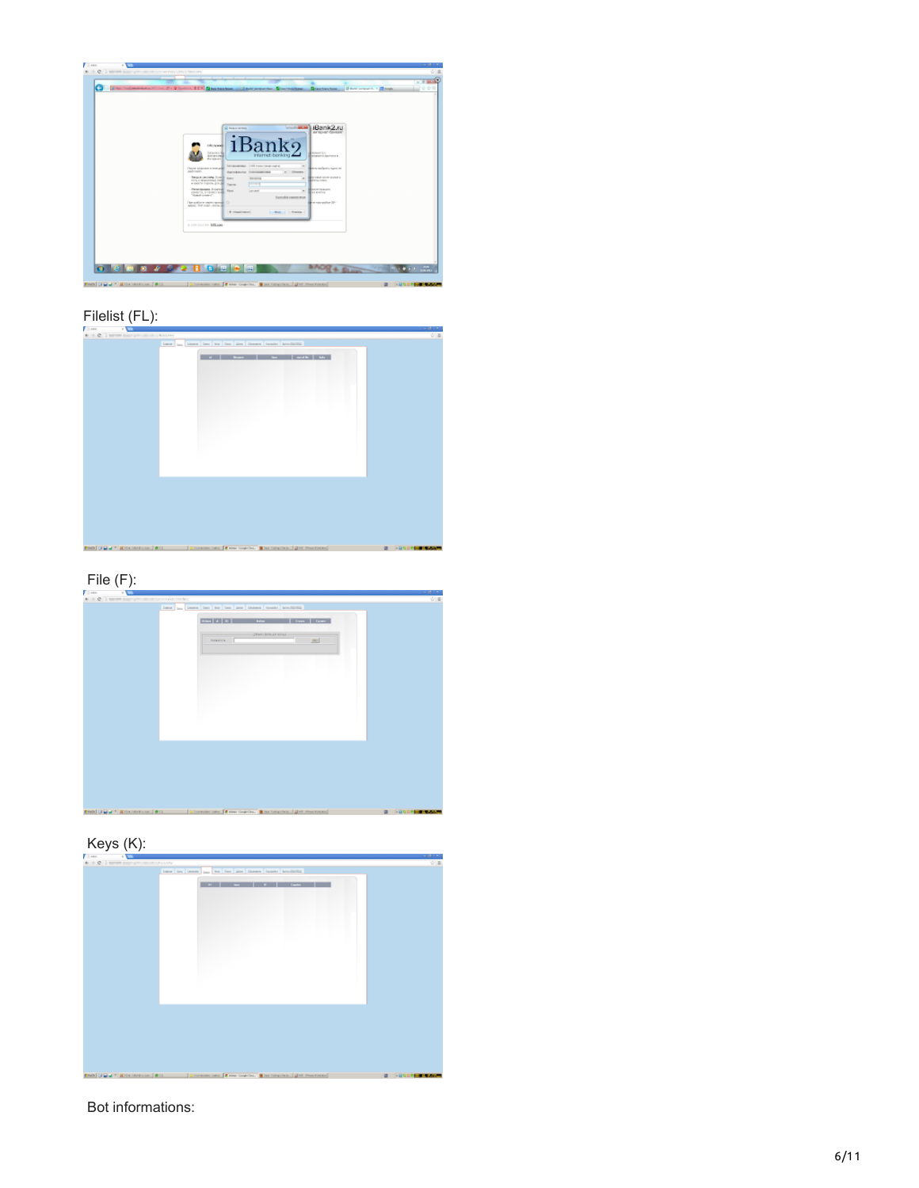| Since Traditioning of Northern D = 0 Contexts, EO F Chas functions  Chall properties  Chart functions                                                                                                                |  |
|----------------------------------------------------------------------------------------------------------------------------------------------------------------------------------------------------------------------|--|
| <b>COLLEGE AND</b>                                                                                                                                                                                                   |  |
| iBank2.ru<br><b>SI Francisco</b>                                                                                                                                                                                     |  |
| k9.<br><b>OSCANNE</b><br><b>Sylvinia Me</b><br>Kingstall (c)<br>internet-benking<br><b>Browner G.Asserver &amp;</b><br>don't contact                                                                                 |  |
| Arrested<br>Terrasenness Artificials (sub-curre)<br><b>Book authors</b> signs as<br><b>Clock corporate money and </b><br>Andersante                                                                                  |  |
| a: Courses<br><b>PARTY BUSINESS TREASURERS INCOME.</b><br><b>Brasil George Street</b><br><b>BUY LINCH COVID-WICKETS</b><br>Kees<br>---<br>FOTA E BLASSTEINS LINE<br>diarra cours<br>a second carrier prints - harves |  |
| _<br>Perentsuses, It survall<br><b>RESIDENCE</b><br>Rear<br>percent.<br>۰<br>clede 19, 5 Total Client<br><b>BALKARY</b><br>"Hotel control".<br>turnatur rannya man                                                   |  |
| <b>Bio corpoles UP</b><br>Detailers was recently<br>anno. N.P. mort . Anna (8)<br><b>E-mailment</b><br><b>Carl College</b>                                                                                           |  |
| A 1994 COLLERY BELLAND                                                                                                                                                                                               |  |
|                                                                                                                                                                                                                      |  |
|                                                                                                                                                                                                                      |  |

# Filelist (FL):







Bot informations: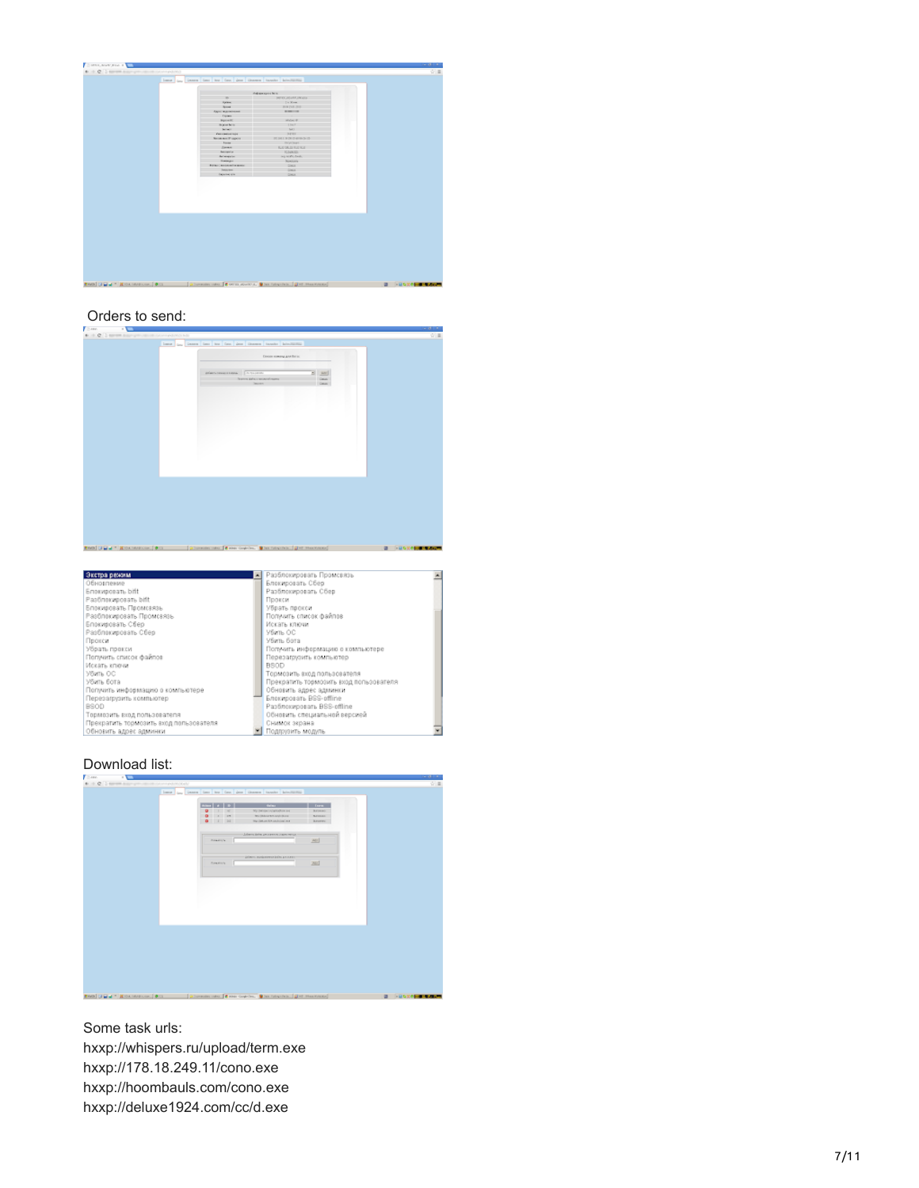|                               | deliverages there. |                        |  |  |
|-------------------------------|--------------------|------------------------|--|--|
| $\mathbb{R}$                  |                    | NEXULATION CO.         |  |  |
| <b>Sylven</b>                 |                    | $1 +$ Kon-             |  |  |
| <b>Spaces</b>                 |                    | <b>BIATAK (SIX</b>     |  |  |
| April Marintenne              |                    | --                     |  |  |
| <b>Tiplers</b>                |                    |                        |  |  |
| <b>Rycall</b>                 |                    | Midwell R.             |  |  |
| <b>Injointern</b>             |                    | 1 Sept.                |  |  |
| between 1                     |                    | M3                     |  |  |
| <b>Constitution</b> injur     |                    | SEXY.                  |  |  |
| <b>Note and If supers</b>     |                    | だかはき 医の中外外の            |  |  |
| <b>Toron</b>                  |                    | <b>BOOTHER</b>         |  |  |
| <b>Corner</b>                 |                    | <b>ILI DUI ILI KAT</b> |  |  |
| <b>Antiquity</b>              |                    | <b>ICOUNTED</b>        |  |  |
| Antique project               |                    | ing in the best.       |  |  |
| <b>Swaps</b>                  |                    | <b>Similar</b>         |  |  |
| <b>Rotario Modernitz anno</b> |                    | <b>Glent</b>           |  |  |
| Jewer                         |                    | <b>Glenn</b>           |  |  |
| Detected felo                 |                    | Glenn                  |  |  |
|                               |                    |                        |  |  |
|                               |                    |                        |  |  |
|                               |                    |                        |  |  |
|                               |                    |                        |  |  |
|                               |                    |                        |  |  |



| Экстра режим                           | <b>• Разблокировать Промсвязь</b>      |  |
|----------------------------------------|----------------------------------------|--|
| Обновление                             | Блокировать Сбер                       |  |
| Snorwpoean, bift                       | Разблокировать Сбер                    |  |
| Разблокировать bift                    | Прокси                                 |  |
| Блокировать Промсаязь                  | Убрать прокси                          |  |
| Разблокировать Промсеязь.              | Получить список файлов                 |  |
| Блокировать Сбер                       | Искать ключи                           |  |
| Разблокировать Сбер                    | Убить ОС                               |  |
| Прокси                                 | Убить бота                             |  |
| Убрать прокси                          | Погучить информацию о компьютере       |  |
| Попучить список файлов                 | Перезагрузить компьютер                |  |
| Искать ключи                           | <b>BSOD</b>                            |  |
| Убить ОС                               | Тормозить вход пользователя            |  |
| Убить бота                             | Прекратить тормозить вход пользователя |  |
| Попучить информацию о компьютере       | Обновить адрес админки                 |  |
| Перезагрузить компьютер                | Блокировать BSS-offline                |  |
| BSOD                                   | Разблокировать BSS-offline             |  |
| Тормозить вход пользователя            | Обновить специальной версией           |  |
| Прекратить тормозить вход пользователя | Снимок экрана                          |  |
| Обновить адрес админки                 | Подлжнить модуль                       |  |

## Download list:



Some task urls: hxxp://whispers.ru/upload/term.exe hxxp://178.18.249.11/cono.exe hxxp://hoombauls.com/cono.exe hxxp://deluxe1924.com/cc/d.exe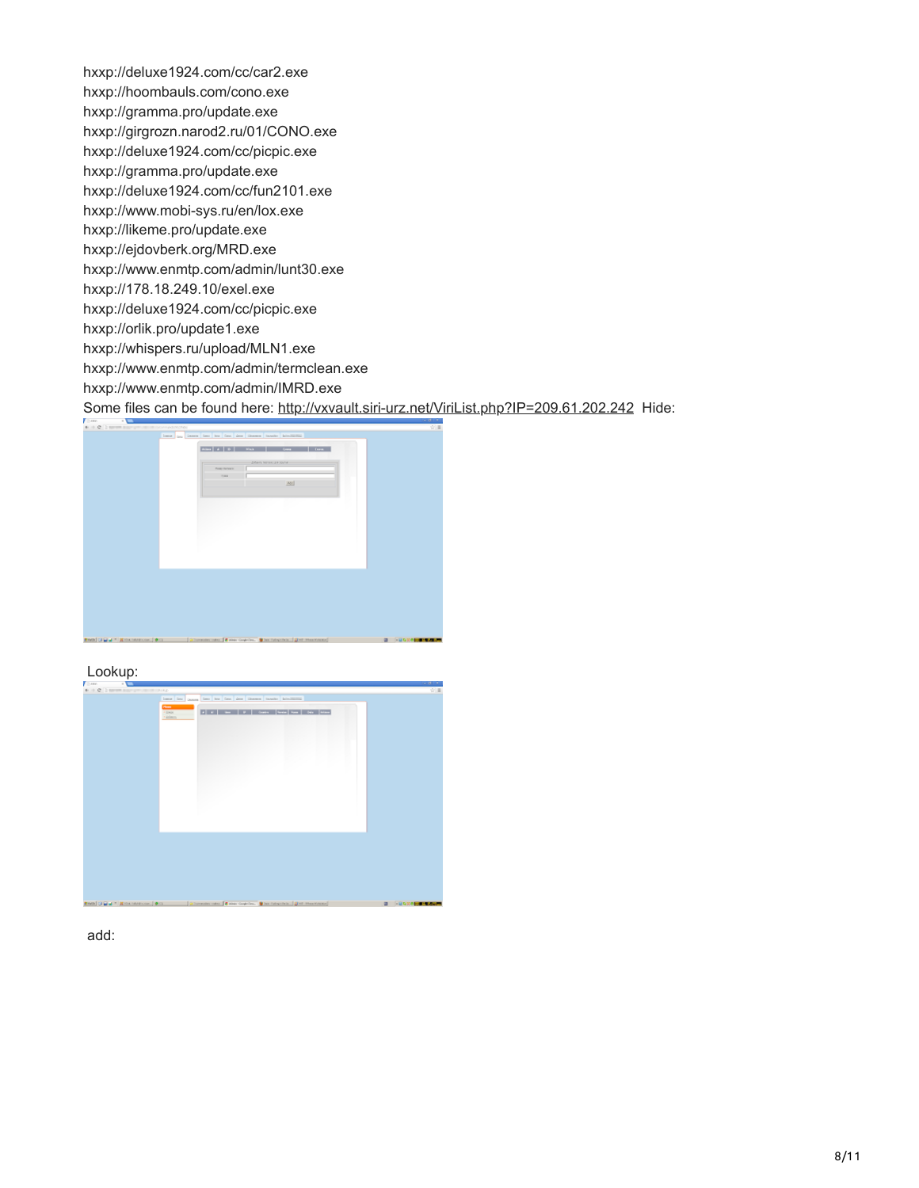hxxp://deluxe1924.com/cc/car2.exe hxxp://hoombauls.com/cono.exe hxxp://gramma.pro/update.exe hxxp://girgrozn.narod2.ru/01/CONO.exe hxxp://deluxe1924.com/cc/picpic.exe hxxp://gramma.pro/update.exe hxxp://deluxe1924.com/cc/fun2101.exe hxxp://www.mobi-sys.ru/en/lox.exe hxxp://likeme.pro/update.exe hxxp://ejdovberk.org/MRD.exe hxxp://www.enmtp.com/admin/lunt30.exe hxxp://178.18.249.10/exel.exe hxxp://deluxe1924.com/cc/picpic.exe hxxp://orlik.pro/update1.exe hxxp://whispers.ru/upload/MLN1.exe hxxp://www.enmtp.com/admin/termclean.exe hxxp://www.enmtp.com/admin/IMRD.exe

Some files can be found here: <http://vxvault.siri-urz.net/ViriList.php?IP=209.61.202.242> Hide:



Lookup:



add: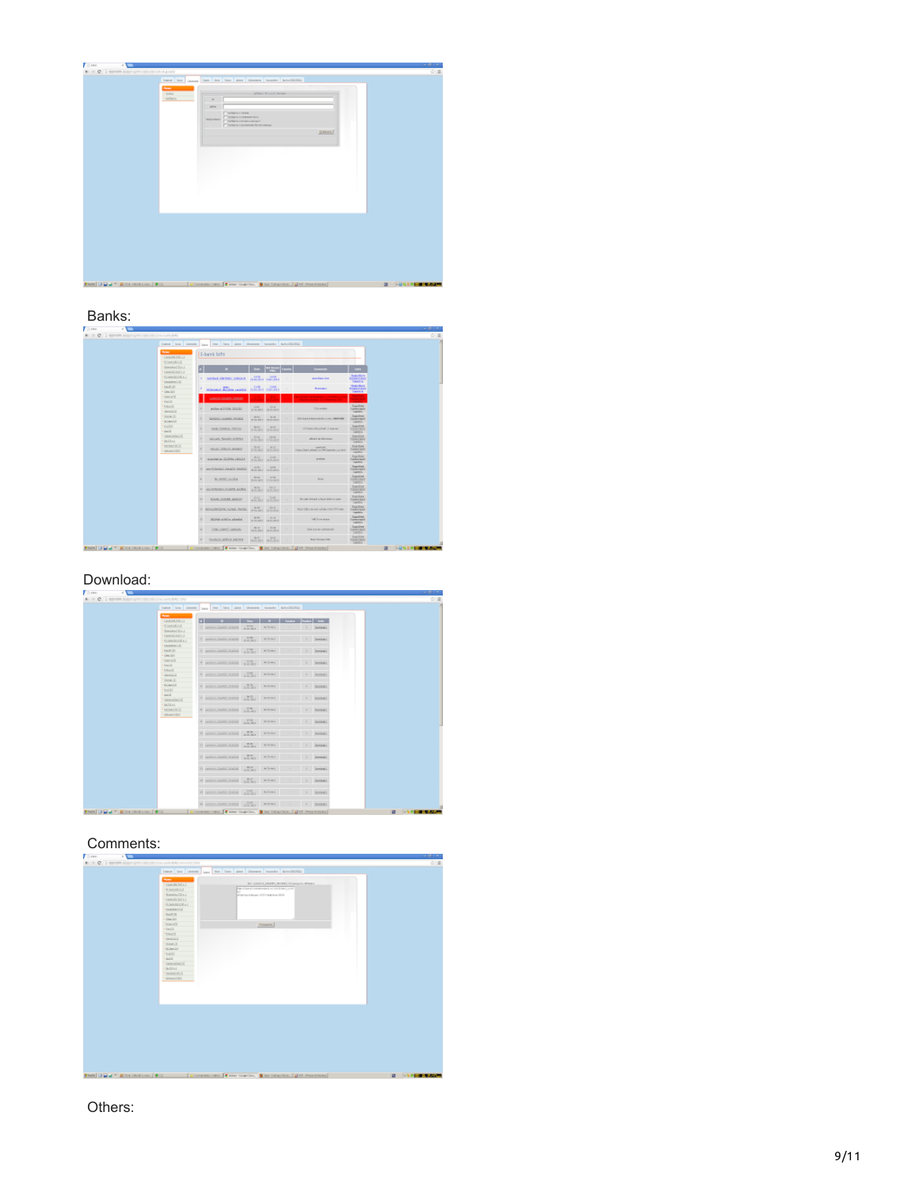| lease less passes line less des plus Genera bandes production<br><b>Planet</b><br>Affairs Art List Listens<br>$+13600$<br>· Administration<br>$\sim$<br><b>MAY</b><br><b>Trailer Sell Service</b><br>Calgorization for<br>Telephone<br>makers communities?<br>Color: research low cars:<br>RAHA) | Com-<br>- 1<br>4 + C Department of the University | <b>ALCOHOL: N</b><br>立画 |
|--------------------------------------------------------------------------------------------------------------------------------------------------------------------------------------------------------------------------------------------------------------------------------------------------|---------------------------------------------------|-------------------------|
|                                                                                                                                                                                                                                                                                                  |                                                   |                         |
|                                                                                                                                                                                                                                                                                                  |                                                   |                         |

## Banks:

| 6 0 C Deposit companies in the results |                                  |    |                                                  |                              |                                                                |                                                                                                                                                                                                                                                                                              |                                                                      |  |
|----------------------------------------|----------------------------------|----|--------------------------------------------------|------------------------------|----------------------------------------------------------------|----------------------------------------------------------------------------------------------------------------------------------------------------------------------------------------------------------------------------------------------------------------------------------------------|----------------------------------------------------------------------|--|
|                                        | Luma Gra Cancer.                 |    | Less line Corn Jane Giovanni Innoche Admittantia |                              |                                                                |                                                                                                                                                                                                                                                                                              |                                                                      |  |
|                                        | -<br>LABORDERS                   |    | I-bank bifft                                     |                              |                                                                |                                                                                                                                                                                                                                                                                              |                                                                      |  |
|                                        | <b>Kinstein</b> Ind.             |    |                                                  |                              |                                                                |                                                                                                                                                                                                                                                                                              |                                                                      |  |
|                                        | <b>SHOOLTEN</b><br>Lietaklika (* |    | n                                                |                              |                                                                | <b>Service</b>                                                                                                                                                                                                                                                                               | <b>Ladia</b>                                                         |  |
|                                        | <b>KANSING AT</b><br>inisterial. |    | subclock tils make antica in                     | 1411<br>PERSONAL PROPERTY    |                                                                | <b>ALL CALL AVE</b>                                                                                                                                                                                                                                                                          | <b>In Accident</b><br><b>CERVITARIA</b><br>TAAH A                    |  |
|                                        | 166.07, 201<br><b>Geologic</b>   |    | <b>STATISTICS</b> IN AN AMERICAN                 | 11.04<br><b>ILHURO THURS</b> | <b>CORP</b>                                                    | <b>Sources</b>                                                                                                                                                                                                                                                                               | <b>Statistics</b><br><b><i><u>THEFT CAR</u></i></b><br><b>SAMILE</b> |  |
|                                        | <b>EMOCKY</b><br><b>Della</b>    |    | 140004-03403-0000                                |                              |                                                                | <b><i><u>Property Common States States In the Common States In the Common States In the Common States In the Common States In the Common States In the Common States In the Common States In the Common States In the Common States </u></i></b><br><b>Service Construction Construction</b> | <b>San Franc</b><br>$\sim$<br>- 1                                    |  |
|                                        | <b>TAXX</b><br><b>General</b>    |    | analysis additioned futures and                  | posts.                       | <b>Corp.</b><br>allowance. Understand                          | Total product                                                                                                                                                                                                                                                                                | <b>Sucker</b><br><b>Lewis Ave.</b><br><b>CARBIN</b>                  |  |
|                                        | ducat, 32<br><b>KONNATE</b>      |    | <b>U-CALI AGANI SIVEN</b>                        | <b>WIN</b>                   | $-22.01$<br><b>WILLIAMS UNLESSED</b>                           | Distance interested comes and                                                                                                                                                                                                                                                                | <b>Sunday</b><br>General<br><b>Call Etty</b>                         |  |
|                                        | nodd.<br>della i                 |    | rooms Arkenau story has                          | MAY 1                        | $-200$<br>artist law at 104 Kit Millery                        | circumstriated, i supran-                                                                                                                                                                                                                                                                    | <b>Truckles</b><br><b>CERTIFICO</b><br><b>DATE:</b>                  |  |
|                                        | tanny shawing<br><b>DOMAL</b>    |    | MAJOR MARIE BUNNE                                | <b>STAIL</b>                 | <b>COLLA</b><br>FRMT BER                                       | allow I are allowance                                                                                                                                                                                                                                                                        | manier<br><b>Care care</b><br><b>Contractor</b>                      |  |
|                                        | immeter id<br>28040527           |    | Gloria Stillight showed                          | 30.40                        | CHANT SULLEO                                                   | rancia è<br>https://bert.educt.co/HK ligendos.co/And                                                                                                                                                                                                                                         | <b>Statistics</b><br>CHARLES<br><b>CAR MOLL</b>                      |  |
|                                        |                                  |    | <b>Autobiot Senitor Service</b>                  | <b>KG</b>                    | <b>COM</b><br>\$1.10 Mil. 25 PLAYER                            | and you                                                                                                                                                                                                                                                                                      | <b>Sucker</b><br><b>Lewis and</b><br><b>CARTER</b>                   |  |
|                                        |                                  |    | In Televisionistic Schools Package               |                              | 2195 2195<br>ASSAULT TELEVIS                                   |                                                                                                                                                                                                                                                                                              | <b>Duncing</b><br>General<br>Call Brita                              |  |
|                                        |                                  | ×  | BLASS SURA                                       | <b>British</b>               | <b>STAR</b><br><b>AGAIL ISSUED</b>                             | <b>Normal</b>                                                                                                                                                                                                                                                                                | <b>Transfere</b><br><b>CANTING</b><br>Del Kille                      |  |
|                                        |                                  |    | at we emissed today and a                        | Sci.                         | <b>WOLF</b><br>B-ENT TENDO                                     |                                                                                                                                                                                                                                                                                              | <b>Nourantee</b><br>Caracteri<br>Total Art Inc.                      |  |
|                                        |                                  |    | IS BOULDING AND IT                               |                              | <b>ASSIS HAND</b>                                              | World American Arts of Arts of Links                                                                                                                                                                                                                                                         | <b>Northeas</b><br>Lewis and<br><b>CASE PROD</b>                     |  |
|                                        |                                  |    | <b><i>KOLORIZON, DOWN, TOOS,</i></b>             | SCALL:                       | <b>Should</b><br><b>ATLAST SERIES</b>                          | Max 15 Advise and Autobio Admitted them                                                                                                                                                                                                                                                      | National<br>Leenard<br><b>Judittion</b>                              |  |
|                                        |                                  |    | DOMA CATALOGICAL                                 |                              | <b>BOY HILL</b><br><b>B.M.MET. VERLETT</b>                     | <b><i>Gloridan State</i></b>                                                                                                                                                                                                                                                                 | <b>Suppliers</b><br>Granad<br><b>CARDON</b>                          |  |
|                                        |                                  |    | Document Lesson                                  | <b>MAY</b>                   | <b>COLLECT</b><br><b>WHO ARE \$1.00 Block and \$1.00 Block</b> | Greenway and area for                                                                                                                                                                                                                                                                        | <b>Sunder</b><br>SANTONICO<br>5415                                   |  |
|                                        |                                  | e. | <b>ESCRIPTION AND IN A REPORT</b>                |                              | MAY 1998<br><b>BASERY INSIDE</b>                               | <b>MATSUM</b> THE                                                                                                                                                                                                                                                                            | <b>Truckles</b><br><b>GRACES</b><br><b>Contactor</b>                 |  |

### Download:

|                               | Lane Low Center Lane line Corp. Down Channel Lanche Admittable |                |             |                    |                    |  |
|-------------------------------|----------------------------------------------------------------|----------------|-------------|--------------------|--------------------|--|
| <b>Service</b><br>+100kMXDEAT | ы                                                              | <b>CONTENT</b> | --          | Linday Dodge Links |                    |  |
| · Kissanhid                   | Lands Delt East Links                                          |                | <b>HOWA</b> |                    |                    |  |
| · SHOOLER LI                  |                                                                |                |             |                    | <b>Jumieni</b>     |  |
| La listabilità e il           |                                                                |                |             |                    |                    |  |
| <b>ELECTRICAL</b>             | I seem mentioned with River                                    |                |             |                    | Dominal L          |  |
| · insidential                 |                                                                |                |             |                    |                    |  |
| DATE 22                       | I seemalisticated with Nines                                   |                |             |                    | <b>Jumient</b> J.  |  |
| Gentled                       |                                                                |                |             |                    |                    |  |
| <b>ENGINEE</b>                | · accountabilities and a street                                |                |             |                    | <b>Detroited A</b> |  |
| $L = 1$                       |                                                                |                |             |                    |                    |  |
| <b>Bulletin</b>               |                                                                |                |             |                    |                    |  |
| · Delegated                   | 4 percentages when the state where                             |                |             |                    | 1 Echit            |  |
| mon.b)                        |                                                                |                |             |                    |                    |  |
| <b>SCOMMISS</b>               | a semi-stationing philip swear                                 |                |             |                    | 1 <b>Inches</b>    |  |
| tools.                        |                                                                |                |             |                    |                    |  |
| <b>Silver</b>                 | Carmonadores 20 mess                                           |                |             |                    |                    |  |
| tmaximiz                      |                                                                |                |             |                    | 1 1 Bichell        |  |
| <b>DOM:L</b>                  |                                                                |                |             |                    |                    |  |
| · included by                 | 4 seats clubs with a strain where                              |                |             |                    | 1 Boston           |  |
| · paperdict                   |                                                                |                |             |                    |                    |  |
|                               | V MODELENDER EDGE ANNA PARA                                    |                |             |                    | 1 BostonLL         |  |
|                               |                                                                |                |             |                    |                    |  |
|                               |                                                                |                |             |                    |                    |  |
|                               | N MINIMUMENT STOCK NEWS PARKA                                  |                |             |                    | 1 Donkell          |  |
|                               |                                                                |                |             |                    |                    |  |
|                               | It seems ment music service retries                            |                |             |                    | Download I         |  |
|                               |                                                                |                |             |                    |                    |  |
|                               | Il anno mentione anno 1979.                                    |                |             |                    | <b>Jumieni</b>     |  |
|                               |                                                                |                |             |                    |                    |  |
|                               |                                                                |                |             |                    |                    |  |
|                               | If announced many points refers                                |                |             |                    | Dominal L          |  |
|                               |                                                                |                |             |                    |                    |  |
|                               | reasonabilities and provide referen-                           |                |             |                    | 1 Dominat J        |  |
|                               |                                                                |                |             |                    |                    |  |
|                               | 6 arms indicated and parties. When                             |                |             |                    | $1$   Include      |  |
|                               |                                                                |                |             |                    |                    |  |
|                               | a provident near which we are to be being                      |                |             |                    |                    |  |

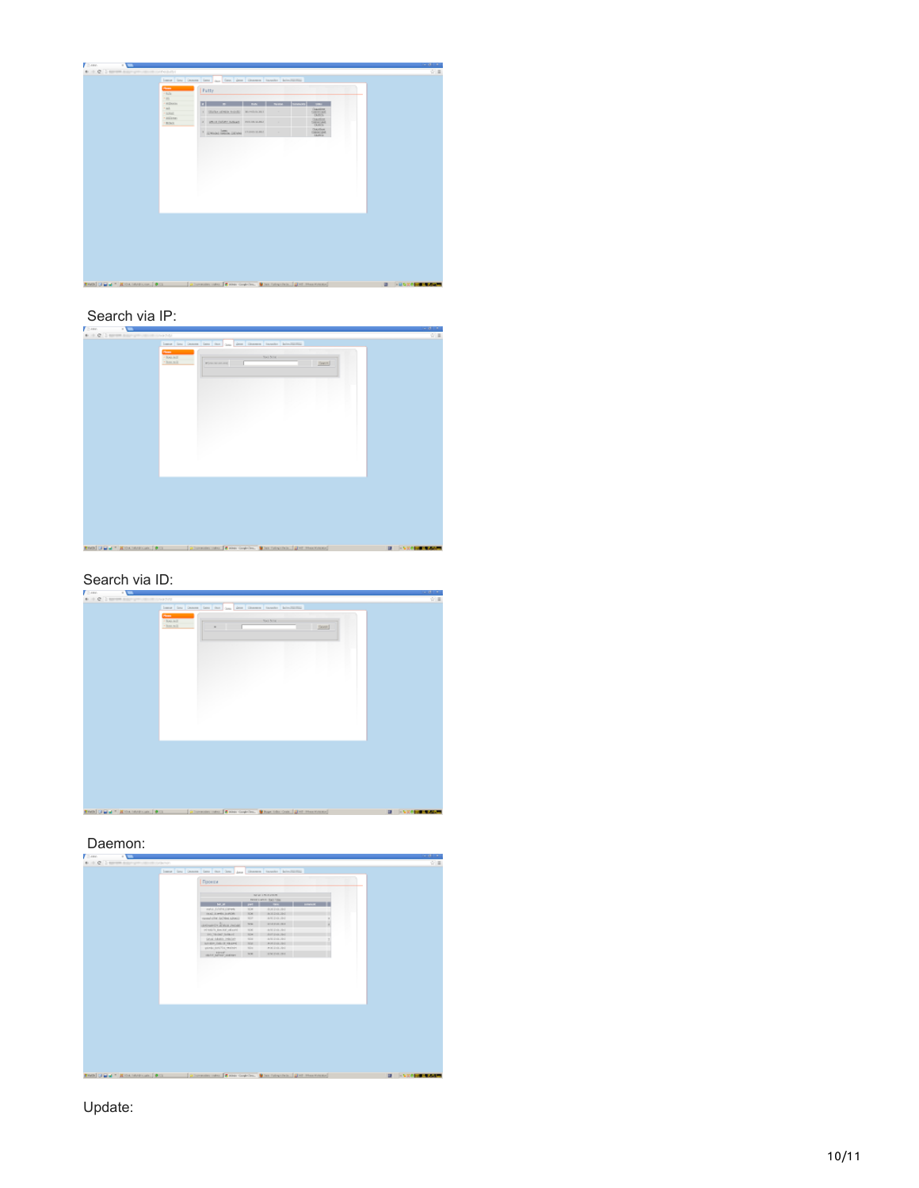| <b>Home</b>                                      | leave the teams ten and ten deal thoses hands accounts             |                    |    |                                                                    |  |  |
|--------------------------------------------------|--------------------------------------------------------------------|--------------------|----|--------------------------------------------------------------------|--|--|
| $+0.5x$<br>189                                   | Putty                                                              |                    |    |                                                                    |  |  |
| 4 Millenburg<br>at.<br><b>LOOK</b><br>· it&lengt | $\overline{\phantom{a}}$<br>1 Glorian private August 1 Marchin McI | <b>I see I was</b> |    | -<br><b>Counties</b><br>Control and<br>DOS:<br><b>Danibac</b>      |  |  |
| <b>RINX</b>                                      | a percentary sense reconstant<br><b>ENGINEERING HOWARDS</b>        |                    | m. | <b>GENERAL</b><br><b>Classified</b><br>Genetical.<br><b>During</b> |  |  |
|                                                  |                                                                    |                    |    |                                                                    |  |  |
|                                                  |                                                                    |                    |    |                                                                    |  |  |
|                                                  |                                                                    |                    |    |                                                                    |  |  |
|                                                  |                                                                    |                    |    |                                                                    |  |  |
|                                                  |                                                                    |                    |    |                                                                    |  |  |
|                                                  |                                                                    |                    |    |                                                                    |  |  |
|                                                  |                                                                    |                    |    |                                                                    |  |  |

## Search via IP:

| <b>STATE</b><br>Com-                                                                                  | $-101 - 1$              |
|-------------------------------------------------------------------------------------------------------|-------------------------|
| # + @ Department of the two con-                                                                      | 安昌                      |
| lease four bonnes date can don down thomas bonnie advertising                                         |                         |
|                                                                                                       |                         |
| <b>Charles</b><br><b>Red Site</b><br>$+3063.362$                                                      |                         |
| · house it<br><b>Financial</b>                                                                        |                         |
| $[$ (sect.)                                                                                           |                         |
|                                                                                                       |                         |
|                                                                                                       |                         |
|                                                                                                       |                         |
|                                                                                                       |                         |
|                                                                                                       |                         |
|                                                                                                       |                         |
|                                                                                                       |                         |
|                                                                                                       |                         |
|                                                                                                       |                         |
|                                                                                                       |                         |
|                                                                                                       |                         |
|                                                                                                       |                         |
|                                                                                                       |                         |
|                                                                                                       |                         |
|                                                                                                       |                         |
|                                                                                                       |                         |
|                                                                                                       |                         |
|                                                                                                       |                         |
|                                                                                                       |                         |
|                                                                                                       |                         |
|                                                                                                       |                         |
|                                                                                                       |                         |
|                                                                                                       |                         |
|                                                                                                       |                         |
|                                                                                                       |                         |
|                                                                                                       |                         |
|                                                                                                       |                         |
|                                                                                                       |                         |
|                                                                                                       |                         |
|                                                                                                       |                         |
|                                                                                                       |                         |
|                                                                                                       |                         |
| RMS (Jimal * Richmondon   813   Januari 1941   Entertainment   Branch 1941   September   Distribution | <b>22 November 2006</b> |
|                                                                                                       |                         |